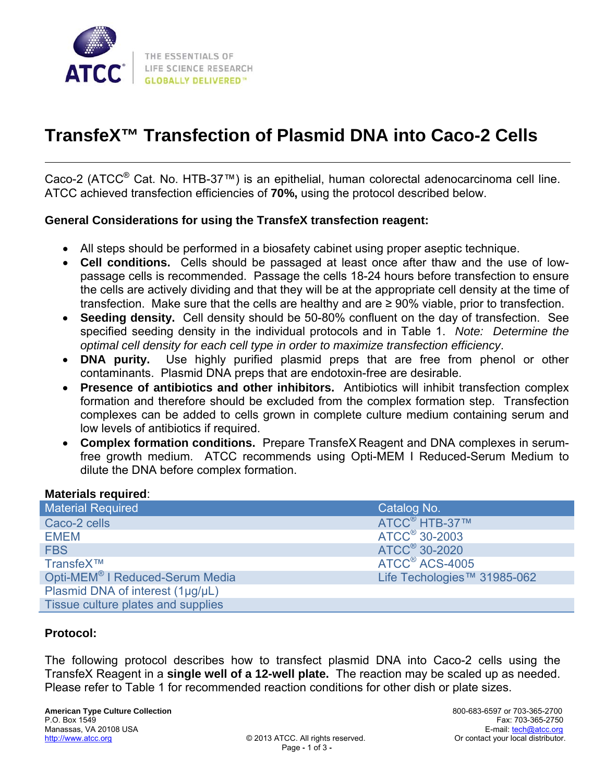

# **TransfeX™ Transfection of Plasmid DNA into Caco-2 Cells**

Caco-2 (ATCC® Cat. No. HTB-37™) is an epithelial, human colorectal adenocarcinoma cell line. ATCC achieved transfection efficiencies of **70%,** using the protocol described below.

### **General Considerations for using the TransfeX transfection reagent:**

- All steps should be performed in a biosafety cabinet using proper aseptic technique.
- **Cell conditions.** Cells should be passaged at least once after thaw and the use of lowpassage cells is recommended. Passage the cells 18-24 hours before transfection to ensure the cells are actively dividing and that they will be at the appropriate cell density at the time of transfection. Make sure that the cells are healthy and are  $\geq 90\%$  viable, prior to transfection.
- **Seeding density.** Cell density should be 50-80% confluent on the day of transfection. See specified seeding density in the individual protocols and in Table 1. *Note: Determine the optimal cell density for each cell type in order to maximize transfection efficiency*.
- **DNA purity.** Use highly purified plasmid preps that are free from phenol or other contaminants. Plasmid DNA preps that are endotoxin-free are desirable.
- **Presence of antibiotics and other inhibitors.** Antibiotics will inhibit transfection complex formation and therefore should be excluded from the complex formation step. Transfection complexes can be added to cells grown in complete culture medium containing serum and low levels of antibiotics if required.
- **Complex formation conditions.** Prepare TransfeX Reagent and DNA complexes in serumfree growth medium. ATCC recommends using Opti-MEM I Reduced-Serum Medium to dilute the DNA before complex formation.

#### **Materials required**:

| <b>Material Required</b>                    | Catalog No.                 |
|---------------------------------------------|-----------------------------|
| Caco-2 cells                                | ATCC <sup>®</sup> HTB-37™   |
| <b>EMEM</b>                                 | ATCC <sup>®</sup> 30-2003   |
| <b>FBS</b>                                  | ATCC <sup>®</sup> 30-2020   |
| TransfeX™                                   | ATCC <sup>®</sup> ACS-4005  |
| Opti-MEM <sup>®</sup> I Reduced-Serum Media | Life Techologies™ 31985-062 |
| Plasmid DNA of interest (1µg/µL)            |                             |
| Tissue culture plates and supplies          |                             |

### **Protocol:**

The following protocol describes how to transfect plasmid DNA into Caco-2 cells using the TransfeX Reagent in a **single well of a 12-well plate.** The reaction may be scaled up as needed. Please refer to Table 1 for recommended reaction conditions for other dish or plate sizes.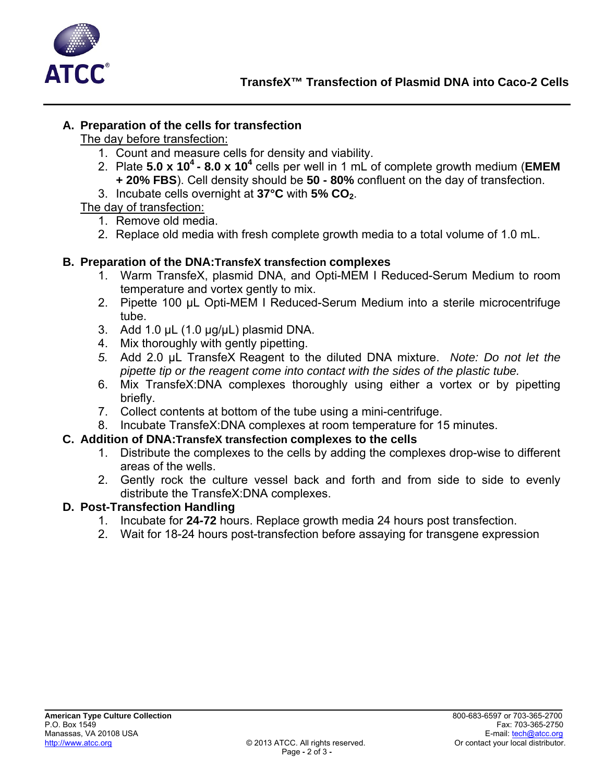

# **A. Preparation of the cells for transfection**

The day before transfection:

- 1. Count and measure cells for density and viability.
- 2. Plate **5.0 x 104 8.0 x 104** cells per well in 1 mL of complete growth medium (**EMEM + 20% FBS**). Cell density should be **50 - 80%** confluent on the day of transfection.
- 3. Incubate cells overnight at **37°C** with **5% CO2**.

# The day of transfection:

- 1. Remove old media.
- 2. Replace old media with fresh complete growth media to a total volume of 1.0 mL.

# **B. Preparation of the DNA:TransfeX transfection complexes**

- 1. Warm TransfeX, plasmid DNA, and Opti-MEM I Reduced-Serum Medium to room temperature and vortex gently to mix.
- 2. Pipette 100 µL Opti-MEM I Reduced-Serum Medium into a sterile microcentrifuge tube.
- 3. Add 1.0  $\mu$ L (1.0  $\mu$ g/ $\mu$ L) plasmid DNA.
- 4. Mix thoroughly with gently pipetting.
- *5.* Add 2.0 µL TransfeX Reagent to the diluted DNA mixture. *Note: Do not let the pipette tip or the reagent come into contact with the sides of the plastic tube.*
- 6. Mix TransfeX:DNA complexes thoroughly using either a vortex or by pipetting briefly.
- 7. Collect contents at bottom of the tube using a mini-centrifuge.
- 8. Incubate TransfeX:DNA complexes at room temperature for 15 minutes.

### **C. Addition of DNA:TransfeX transfection complexes to the cells**

- 1. Distribute the complexes to the cells by adding the complexes drop-wise to different areas of the wells.
- 2. Gently rock the culture vessel back and forth and from side to side to evenly distribute the TransfeX:DNA complexes.

# **D. Post-Transfection Handling**

- 1. Incubate for **24-72** hours. Replace growth media 24 hours post transfection.
- 2. Wait for 18-24 hours post-transfection before assaying for transgene expression

\_\_\_\_\_\_\_\_\_\_\_\_\_\_\_\_ \_\_\_